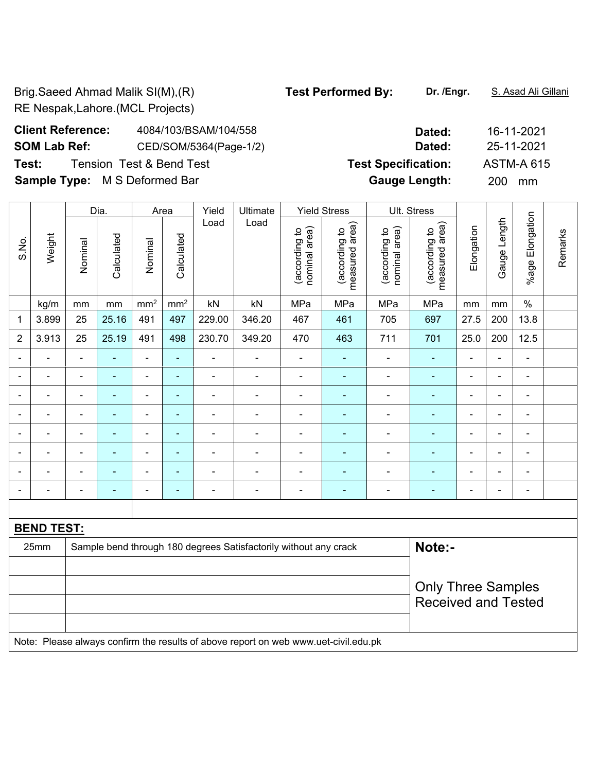Brig.Saeed Ahmad Malik SI(M),(R) **Test Performed By:** Dr. /Engr. S. Asad Ali Gillani RE Nespak,Lahore.(MCL Projects)

## **Client Reference:** 4084/103/BSAM/104/558 **Dated:** 16-11-2021 **SOM Lab Ref:** CED/SOM/5364(Page-1/2) **Dated:** 25-11-2021 **Test:** Tension Test & Bend Test **Test Specification:** ASTM-A 615 **Sample Type:** M S Deformed Bar **Gauge Length:** 200 mm

|                |                   | <b>Yield Stress</b><br>Dia.<br>Yield<br>Ultimate<br>Area         |                |                 | Ult. Stress     |                |                                                                                     |                                |                                 |                                |                                    |                          |                |                              |         |
|----------------|-------------------|------------------------------------------------------------------|----------------|-----------------|-----------------|----------------|-------------------------------------------------------------------------------------|--------------------------------|---------------------------------|--------------------------------|------------------------------------|--------------------------|----------------|------------------------------|---------|
| S.No.          | Weight            | Nominal                                                          | Calculated     | Nominal         | Calculated      | Load           | Load                                                                                | nominal area)<br>(according to | measured area)<br>(according to | nominal area)<br>(according to | area)<br>(according to<br>measured | Elongation               | Gauge Length   | %age Elongation              | Remarks |
|                | kg/m              | mm                                                               | mm             | mm <sup>2</sup> | mm <sup>2</sup> | kN             | kN                                                                                  | MPa                            | MPa                             | MPa                            | MPa                                | mm                       | mm             | $\%$                         |         |
| 1              | 3.899             | 25                                                               | 25.16          | 491             | 497             | 229.00         | 346.20                                                                              | 467                            | 461                             | 705                            | 697                                | 27.5                     | 200            | 13.8                         |         |
| $\overline{2}$ | 3.913             | 25                                                               | 25.19          | 491             | 498             | 230.70         | 349.20                                                                              | 470                            | 463                             | 711                            | 701                                | 25.0                     | 200            | 12.5                         |         |
| $\blacksquare$ | $\overline{a}$    | $\overline{a}$                                                   | ÷.             | $\blacksquare$  | $\blacksquare$  | $\blacksquare$ | $\blacksquare$                                                                      | ä,                             | ä,                              | $\blacksquare$                 | $\blacksquare$                     | $\blacksquare$           | $\blacksquare$ | ä,                           |         |
| $\blacksquare$ | $\blacksquare$    | $\blacksquare$                                                   | $\blacksquare$ | $\blacksquare$  | ٠               | $\blacksquare$ | $\blacksquare$                                                                      | $\blacksquare$                 | ٠                               | $\overline{\phantom{a}}$       | $\blacksquare$                     | $\blacksquare$           | $\blacksquare$ |                              |         |
| $\blacksquare$ | $\blacksquare$    | $\blacksquare$                                                   | ٠              | $\blacksquare$  | $\blacksquare$  | $\blacksquare$ | $\qquad \qquad \blacksquare$                                                        | $\blacksquare$                 | ۰                               | $\qquad \qquad \blacksquare$   | $\blacksquare$                     | $\blacksquare$           | $\blacksquare$ | $\qquad \qquad \blacksquare$ |         |
| ÷,             | $\blacksquare$    | ÷,                                                               | $\blacksquare$ | $\blacksquare$  | $\blacksquare$  | ÷,             | $\blacksquare$                                                                      | $\blacksquare$                 | ٠                               | $\qquad \qquad \blacksquare$   | $\blacksquare$                     | $\blacksquare$           | $\blacksquare$ | $\blacksquare$               |         |
| ä,             | $\blacksquare$    | L,                                                               | $\blacksquare$ | $\blacksquare$  | $\blacksquare$  | ÷,             | $\blacksquare$                                                                      | $\overline{\phantom{a}}$       | ä,                              | $\qquad \qquad \blacksquare$   | $\blacksquare$                     | $\overline{\phantom{a}}$ | $\blacksquare$ | $\blacksquare$               |         |
|                | $\blacksquare$    | ÷                                                                | ÷              | $\blacksquare$  | $\blacksquare$  | ÷              | $\overline{a}$                                                                      | ÷                              | ٠                               | ÷                              | $\blacksquare$                     | $\overline{a}$           | $\overline{a}$ |                              |         |
|                |                   |                                                                  | ä,             | $\blacksquare$  | ۰               | ä,             | $\blacksquare$                                                                      | Ē,                             |                                 | $\blacksquare$                 | $\blacksquare$                     | $\blacksquare$           | $\blacksquare$ | $\blacksquare$               |         |
|                |                   | $\blacksquare$                                                   | ۰              | ۰               | ۰               | $\blacksquare$ | $\overline{a}$                                                                      | $\blacksquare$                 | $\overline{\phantom{0}}$        | ۰                              | $\blacksquare$                     | $\blacksquare$           | $\blacksquare$ | $\blacksquare$               |         |
|                |                   |                                                                  |                |                 |                 |                |                                                                                     |                                |                                 |                                |                                    |                          |                |                              |         |
|                | <b>BEND TEST:</b> |                                                                  |                |                 |                 |                |                                                                                     |                                |                                 |                                |                                    |                          |                |                              |         |
|                | 25mm              | Sample bend through 180 degrees Satisfactorily without any crack |                |                 |                 |                |                                                                                     |                                | Note:-                          |                                |                                    |                          |                |                              |         |
|                |                   |                                                                  |                |                 |                 |                |                                                                                     |                                |                                 |                                |                                    |                          |                |                              |         |
|                |                   |                                                                  |                |                 |                 |                |                                                                                     |                                |                                 |                                | <b>Only Three Samples</b>          |                          |                |                              |         |
|                |                   |                                                                  |                |                 |                 |                |                                                                                     |                                |                                 |                                | <b>Received and Tested</b>         |                          |                |                              |         |
|                |                   |                                                                  |                |                 |                 |                |                                                                                     |                                |                                 |                                |                                    |                          |                |                              |         |
|                |                   |                                                                  |                |                 |                 |                | Note: Please always confirm the results of above report on web www.uet-civil.edu.pk |                                |                                 |                                |                                    |                          |                |                              |         |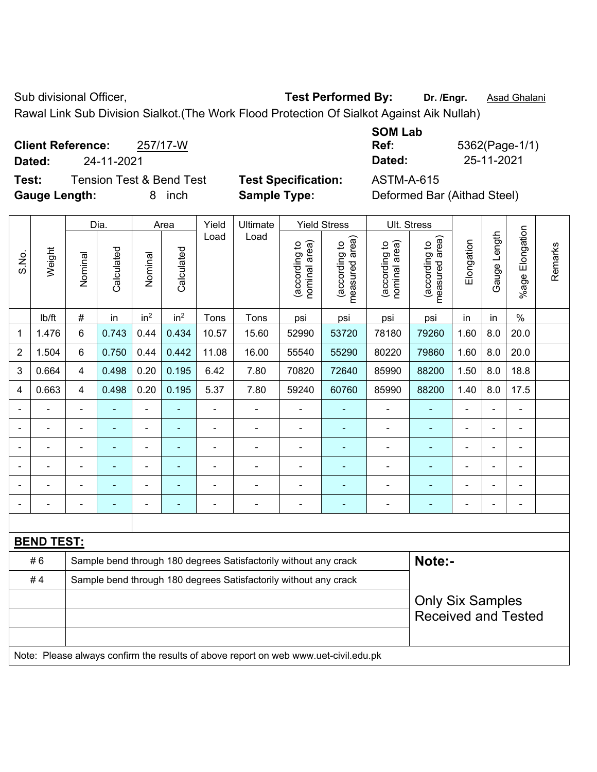Sub divisional Officer, **Test Performed By:** Dr. /Engr. **Asad Ghalani** Cub Association Dr. *Asad Ghalani* 

Rawal Link Sub Division Sialkot.(The Work Flood Protection Of Sialkot Against Aik Nullah)

**Client Reference:** 257/17-W **Dated:** 24-11-2021 **Dated:** 25-11-2021 **Test:** Tension Test & Bend Test **Test Specification:** ASTM-A-615

**Gauge Length:** 8 inch **Sample Type:** Deformed Bar (Aithad Steel)

**SOM Lab Ref:** 5362(Page-1/1)

|                |                   | Dia.<br>Area   |                | Yield<br><b>Yield Stress</b><br>Ultimate |                 |                | Ult. Stress                                                                         |                                |                                 |                                |                                 |                |                |                       |         |
|----------------|-------------------|----------------|----------------|------------------------------------------|-----------------|----------------|-------------------------------------------------------------------------------------|--------------------------------|---------------------------------|--------------------------------|---------------------------------|----------------|----------------|-----------------------|---------|
| S.No.          | Weight            | Nominal        | Calculated     | Nominal                                  | Calculated      | Load           | Load                                                                                | nominal area)<br>(according to | measured area)<br>(according to | (according to<br>nominal area) | (according to<br>measured area) | Elongation     | Gauge Length   | Elongation<br>$%$ age | Remarks |
|                | Ib/ft             | $\#$           | in             | in <sup>2</sup>                          | in <sup>2</sup> | Tons           | Tons                                                                                | psi                            | psi                             | psi                            | psi                             | in             | in             | $\frac{0}{0}$         |         |
| 1              | 1.476             | 6              | 0.743          | 0.44                                     | 0.434           | 10.57          | 15.60                                                                               | 52990                          | 53720                           | 78180                          | 79260                           | 1.60           | 8.0            | 20.0                  |         |
| $\overline{2}$ | 1.504             | 6              | 0.750          | 0.44                                     | 0.442           | 11.08          | 16.00                                                                               | 55540                          | 55290                           | 80220                          | 79860                           | 1.60           | 8.0            | 20.0                  |         |
| 3              | 0.664             | $\overline{4}$ | 0.498          | 0.20                                     | 0.195           | 6.42           | 7.80                                                                                | 70820                          | 72640                           | 85990                          | 88200                           | 1.50           | 8.0            | 18.8                  |         |
| $\overline{4}$ | 0.663             | $\overline{4}$ | 0.498          | 0.20                                     | 0.195           | 5.37           | 7.80                                                                                | 59240                          | 60760                           | 85990                          | 88200                           | 1.40           | 8.0            | 17.5                  |         |
|                |                   | $\blacksquare$ | $\blacksquare$ | ÷,                                       |                 | ä,             | ä,                                                                                  | $\blacksquare$                 | $\sim$                          | ä,                             |                                 | ä,             | $\blacksquare$ | $\blacksquare$        |         |
|                | ÷                 |                | $\blacksquare$ | ÷,                                       |                 | $\blacksquare$ | ÷                                                                                   | $\blacksquare$                 | ۰                               | $\blacksquare$                 | $\blacksquare$                  | $\blacksquare$ |                | $\blacksquare$        |         |
|                | $\blacksquare$    |                | $\blacksquare$ | ÷                                        |                 | $\blacksquare$ | $\blacksquare$                                                                      | $\blacksquare$                 |                                 | $\overline{\phantom{a}}$       | $\blacksquare$                  | $\blacksquare$ |                | $\blacksquare$        |         |
|                | $\blacksquare$    |                | $\blacksquare$ | ÷                                        |                 | $\blacksquare$ | $\blacksquare$                                                                      | $\blacksquare$                 |                                 | ÷,                             | $\blacksquare$                  | $\blacksquare$ |                | $\blacksquare$        |         |
|                |                   |                | ä,             | ÷                                        |                 |                | Ē,                                                                                  |                                |                                 | ä,                             |                                 | ä,             |                | ä,                    |         |
|                |                   |                |                | ۰                                        |                 |                |                                                                                     |                                |                                 |                                |                                 | $\blacksquare$ |                | $\blacksquare$        |         |
|                |                   |                |                |                                          |                 |                |                                                                                     |                                |                                 |                                |                                 |                |                |                       |         |
|                | <b>BEND TEST:</b> |                |                |                                          |                 |                |                                                                                     |                                |                                 |                                |                                 |                |                |                       |         |
|                | #6                |                |                |                                          |                 |                | Sample bend through 180 degrees Satisfactorily without any crack                    |                                |                                 |                                | Note:-                          |                |                |                       |         |
|                | #4                |                |                |                                          |                 |                | Sample bend through 180 degrees Satisfactorily without any crack                    |                                |                                 |                                |                                 |                |                |                       |         |
|                |                   |                |                |                                          |                 |                |                                                                                     |                                |                                 |                                | <b>Only Six Samples</b>         |                |                |                       |         |
|                |                   |                |                |                                          |                 |                |                                                                                     |                                |                                 |                                | <b>Received and Tested</b>      |                |                |                       |         |
|                |                   |                |                |                                          |                 |                |                                                                                     |                                |                                 |                                |                                 |                |                |                       |         |
|                |                   |                |                |                                          |                 |                | Note: Please always confirm the results of above report on web www.uet-civil.edu.pk |                                |                                 |                                |                                 |                |                |                       |         |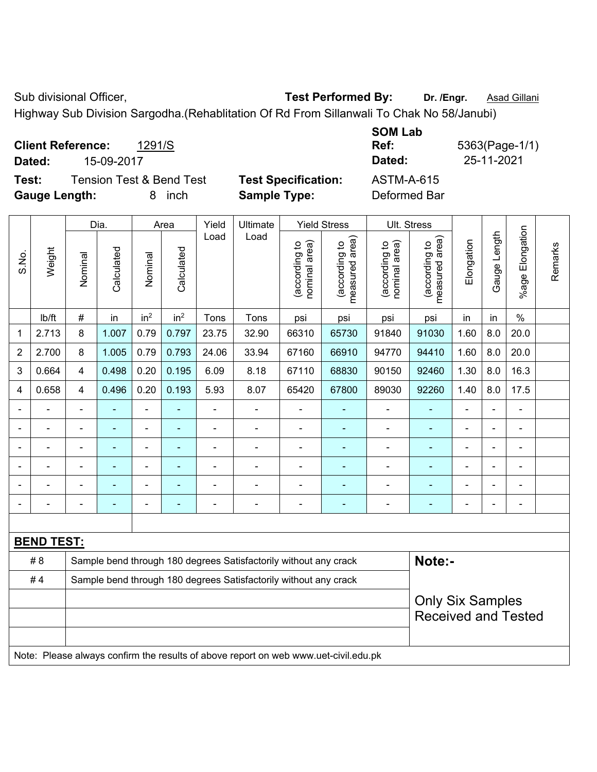Sub divisional Officer, **Test Performed By:** Dr. /Engr. **Asad Gillani** Cub Association Cub Association Cub Association

Highway Sub Division Sargodha.(Rehablitation Of Rd From Sillanwali To Chak No 58/Janubi)

|                      |                          |                                     |                            | <b>SUMLAD</b>     |              |
|----------------------|--------------------------|-------------------------------------|----------------------------|-------------------|--------------|
|                      | <b>Client Reference:</b> | 1291/S                              |                            | Ref:              | 5363(Page-1/ |
| Dated:               | 15-09-2017               |                                     |                            | Dated:            | 25-11-2021   |
| Test:                |                          | <b>Tension Test &amp; Bend Test</b> | <b>Test Specification:</b> | <b>ASTM-A-615</b> |              |
| <b>Gauge Length:</b> |                          | inch                                | <b>Sample Type:</b>        | Deformed Bar      |              |

|                |                   |                         | Dia.           |                 | Area            | Yield          | Ultimate                                                                            |                                | <b>Yield Stress</b>             |                                | Ult. Stress                     |                |              |                       |         |
|----------------|-------------------|-------------------------|----------------|-----------------|-----------------|----------------|-------------------------------------------------------------------------------------|--------------------------------|---------------------------------|--------------------------------|---------------------------------|----------------|--------------|-----------------------|---------|
| S.No.          | Weight            | Nominal                 | Calculated     | Nominal         | Calculated      | Load           | Load                                                                                | (according to<br>nominal area) | (according to<br>measured area) | nominal area)<br>(according to | (according to<br>measured area) | Elongation     | Gauge Length | Elongation<br>$%$ age | Remarks |
|                | Ib/ft             | #                       | in             | in <sup>2</sup> | in <sup>2</sup> | Tons           | Tons                                                                                | psi                            | psi                             | psi                            | psi                             | in             | in           | $\frac{0}{0}$         |         |
| 1              | 2.713             | 8                       | 1.007          | 0.79            | 0.797           | 23.75          | 32.90                                                                               | 66310                          | 65730                           | 91840                          | 91030                           | 1.60           | 8.0          | 20.0                  |         |
| $\overline{2}$ | 2.700             | 8                       | 1.005          | 0.79            | 0.793           | 24.06          | 33.94                                                                               | 67160                          | 66910                           | 94770                          | 94410                           | 1.60           | 8.0          | 20.0                  |         |
| 3              | 0.664             | $\overline{4}$          | 0.498          | 0.20            | 0.195           | 6.09           | 8.18                                                                                | 67110                          | 68830                           | 90150                          | 92460                           | 1.30           | 8.0          | 16.3                  |         |
| 4              | 0.658             | $\overline{\mathbf{4}}$ | 0.496          | 0.20            | 0.193           | 5.93           | 8.07                                                                                | 65420                          | 67800                           | 89030                          | 92260                           | 1.40           | 8.0          | 17.5                  |         |
|                |                   | $\blacksquare$          | $\blacksquare$ | ÷,              |                 | ÷              | ä,                                                                                  | $\blacksquare$                 |                                 | $\blacksquare$                 | $\blacksquare$                  | $\blacksquare$ |              | $\blacksquare$        |         |
|                | ÷                 | $\blacksquare$          | $\blacksquare$ | ÷,              | ٠               | ä,             | $\overline{a}$                                                                      | $\blacksquare$                 | $\blacksquare$                  | $\blacksquare$                 | $\blacksquare$                  | $\overline{a}$ |              | $\blacksquare$        |         |
|                |                   | $\blacksquare$          | $\blacksquare$ | L,              |                 |                | $\blacksquare$                                                                      | $\blacksquare$                 |                                 | $\blacksquare$                 | $\blacksquare$                  | $\blacksquare$ |              | $\blacksquare$        |         |
|                |                   |                         |                | $\blacksquare$  |                 |                |                                                                                     | $\blacksquare$                 |                                 |                                |                                 |                |              | $\blacksquare$        |         |
|                |                   |                         |                | ۰               |                 |                | $\blacksquare$                                                                      | $\blacksquare$                 |                                 |                                | $\blacksquare$                  | $\blacksquare$ |              | $\blacksquare$        |         |
|                |                   | ۰                       | $\blacksquare$ | -               | ۰               | $\blacksquare$ | $\blacksquare$                                                                      | $\overline{a}$                 | $\blacksquare$                  | $\blacksquare$                 | $\blacksquare$                  | $\blacksquare$ |              | $\blacksquare$        |         |
|                |                   |                         |                |                 |                 |                |                                                                                     |                                |                                 |                                |                                 |                |              |                       |         |
|                | <b>BEND TEST:</b> |                         |                |                 |                 |                |                                                                                     |                                |                                 |                                |                                 |                |              |                       |         |
|                | # 8               |                         |                |                 |                 |                | Sample bend through 180 degrees Satisfactorily without any crack                    |                                |                                 |                                | Note:-                          |                |              |                       |         |
|                | #4                |                         |                |                 |                 |                | Sample bend through 180 degrees Satisfactorily without any crack                    |                                |                                 |                                |                                 |                |              |                       |         |
|                |                   |                         |                |                 |                 |                |                                                                                     |                                |                                 |                                | <b>Only Six Samples</b>         |                |              |                       |         |
|                |                   |                         |                |                 |                 |                |                                                                                     |                                |                                 |                                | <b>Received and Tested</b>      |                |              |                       |         |
|                |                   |                         |                |                 |                 |                |                                                                                     |                                |                                 |                                |                                 |                |              |                       |         |
|                |                   |                         |                |                 |                 |                | Note: Please always confirm the results of above report on web www.uet-civil.edu.pk |                                |                                 |                                |                                 |                |              |                       |         |

**SOM Lab Ref:** 5363(Page-1/1)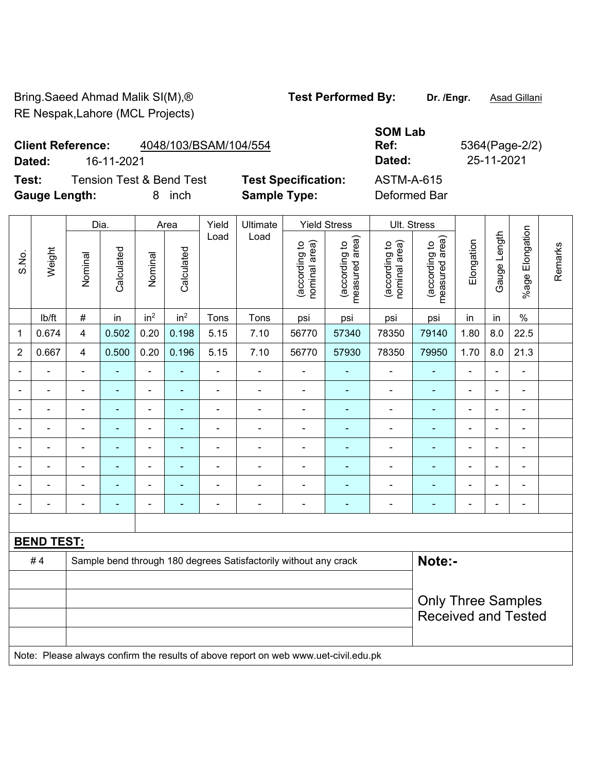Bring.Saeed Ahmad Malik SI(M),<sup>®</sup> **Test Performed By:** Dr. /Engr. **Asad Gillani** RE Nespak,Lahore (MCL Projects)

## **Client Reference:** 4048/103/BSAM/104/554

**Dated:** 16-11-2021 **Dated:** 25-11-2021

**Test:** Tension Test & Bend Test **Test Specification:** ASTM-A-615 **Gauge Length:** 8 inch **Sample Type:** Deformed Bar

**Ref:** 5364(Page-2/2)

|                |                   |                         | Dia.           |                 | Area            | Yield                    | Ultimate                                                                            |                                | <b>Yield Stress</b>             |                                | Ult. Stress                     |                              |                |                       |         |
|----------------|-------------------|-------------------------|----------------|-----------------|-----------------|--------------------------|-------------------------------------------------------------------------------------|--------------------------------|---------------------------------|--------------------------------|---------------------------------|------------------------------|----------------|-----------------------|---------|
| S.No.          | Weight            | Nominal                 | Calculated     | Nominal         | Calculated      | Load                     | Load                                                                                | (according to<br>nominal area) | (according to<br>measured area) | nominal area)<br>(according to | (according to<br>measured area) | Elongation                   | Gauge Length   | Elongation<br>$%$ age | Remarks |
|                | lb/ft             | $\#$                    | in             | in <sup>2</sup> | in <sup>2</sup> | Tons                     | Tons                                                                                | psi                            | psi                             | psi                            | psi                             | in                           | in             | $\%$                  |         |
| $\mathbf{1}$   | 0.674             | $\overline{\mathbf{4}}$ | 0.502          | 0.20            | 0.198           | 5.15                     | 7.10                                                                                | 56770                          | 57340                           | 78350                          | 79140                           | 1.80                         | 8.0            | 22.5                  |         |
| $\overline{2}$ | 0.667             | 4                       | 0.500          | 0.20            | 0.196           | 5.15                     | 7.10                                                                                | 56770                          | 57930                           | 78350                          | 79950                           | 1.70                         | 8.0            | 21.3                  |         |
| $\blacksquare$ |                   | $\blacksquare$          | $\blacksquare$ | $\blacksquare$  | $\blacksquare$  | $\blacksquare$           | $\overline{a}$                                                                      | $\blacksquare$                 | $\blacksquare$                  | $\blacksquare$                 | $\blacksquare$                  | $\qquad \qquad \blacksquare$ | $\blacksquare$ | $\blacksquare$        |         |
|                |                   | $\blacksquare$          | $\blacksquare$ | $\blacksquare$  | $\blacksquare$  | $\blacksquare$           | $\blacksquare$                                                                      | $\overline{\phantom{0}}$       | $\blacksquare$                  | $\overline{\phantom{a}}$       | $\blacksquare$                  | $\blacksquare$               |                | $\frac{1}{2}$         |         |
|                |                   | ä,                      | ٠              | $\blacksquare$  | $\blacksquare$  | ä,                       | $\blacksquare$                                                                      | $\overline{\phantom{0}}$       | $\blacksquare$                  | $\blacksquare$                 | $\sim$                          | $\blacksquare$               |                | $\blacksquare$        |         |
|                |                   | $\blacksquare$          | $\blacksquare$ | $\blacksquare$  |                 |                          | $\blacksquare$                                                                      | $\blacksquare$                 | $\blacksquare$                  | $\blacksquare$                 | $\blacksquare$                  | $\blacksquare$               |                | $\blacksquare$        |         |
|                |                   | $\blacksquare$          |                | $\blacksquare$  |                 | ä,                       | $\blacksquare$                                                                      | $\blacksquare$                 |                                 | $\blacksquare$                 |                                 | $\blacksquare$               |                | $\blacksquare$        |         |
|                | $\blacksquare$    | ۰                       | $\blacksquare$ | $\blacksquare$  | $\blacksquare$  | ä,                       | $\blacksquare$                                                                      | $\overline{\phantom{0}}$       | $\blacksquare$                  | $\blacksquare$                 | $\blacksquare$                  | $\blacksquare$               | $\blacksquare$ | $\frac{1}{2}$         |         |
|                |                   | ÷                       | $\blacksquare$ | $\blacksquare$  |                 | ä,                       | $\blacksquare$                                                                      | ۰                              | $\blacksquare$                  | $\blacksquare$                 | $\blacksquare$                  | ۰                            |                | ÷                     |         |
|                |                   | $\blacksquare$          | $\blacksquare$ | $\blacksquare$  | $\blacksquare$  | $\overline{\phantom{a}}$ | $\blacksquare$                                                                      | $\overline{\phantom{0}}$       | $\blacksquare$                  | $\blacksquare$                 | $\blacksquare$                  | $\blacksquare$               |                | $\blacksquare$        |         |
|                |                   |                         |                |                 |                 |                          |                                                                                     |                                |                                 |                                |                                 |                              |                |                       |         |
|                | <b>BEND TEST:</b> |                         |                |                 |                 |                          |                                                                                     |                                |                                 |                                |                                 |                              |                |                       |         |
|                | #4                |                         |                |                 |                 |                          | Sample bend through 180 degrees Satisfactorily without any crack                    |                                |                                 |                                | Note:-                          |                              |                |                       |         |
|                |                   |                         |                |                 |                 |                          |                                                                                     |                                |                                 |                                |                                 |                              |                |                       |         |
|                |                   |                         |                |                 |                 |                          |                                                                                     |                                |                                 |                                | <b>Only Three Samples</b>       |                              |                |                       |         |
|                |                   |                         |                |                 |                 |                          |                                                                                     |                                |                                 |                                | <b>Received and Tested</b>      |                              |                |                       |         |
|                |                   |                         |                |                 |                 |                          |                                                                                     |                                |                                 |                                |                                 |                              |                |                       |         |
|                |                   |                         |                |                 |                 |                          | Note: Please always confirm the results of above report on web www.uet-civil.edu.pk |                                |                                 |                                |                                 |                              |                |                       |         |

**SOM Lab**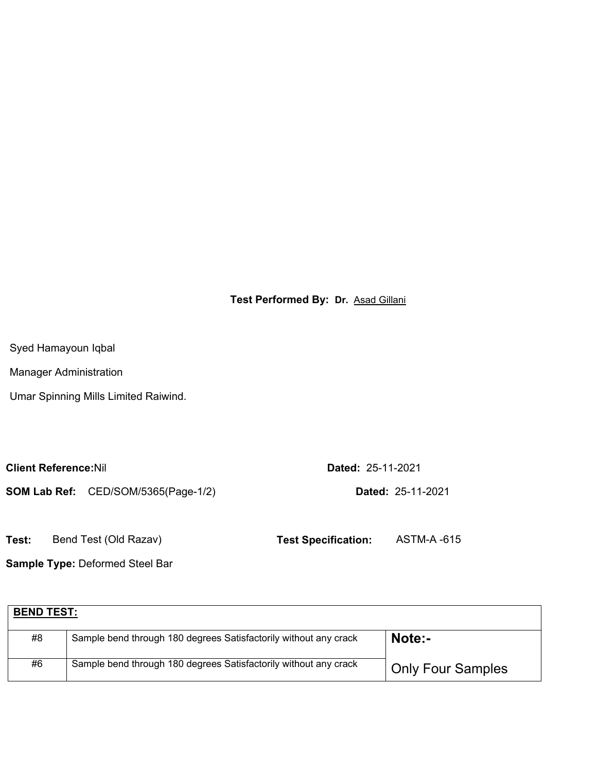**Test Performed By: Dr.** Asad Gillani

Syed Hamayoun Iqbal

Manager Administration

Umar Spinning Mills Limited Raiwind.

**Client Reference:**Nil **Dated:** 25-11-2021

**SOM Lab Ref:** CED/SOM/5365(Page-1/2) **Dated:** 25-11-2021

**Test:** Bend Test (Old Razav) **Test Specification:** ASTM-A -615

**Sample Type:** Deformed Steel Bar

| <b>BEND TEST:</b> |                                                                  |                          |
|-------------------|------------------------------------------------------------------|--------------------------|
| #8                | Sample bend through 180 degrees Satisfactorily without any crack | Note:-                   |
| #6                | Sample bend through 180 degrees Satisfactorily without any crack | <b>Only Four Samples</b> |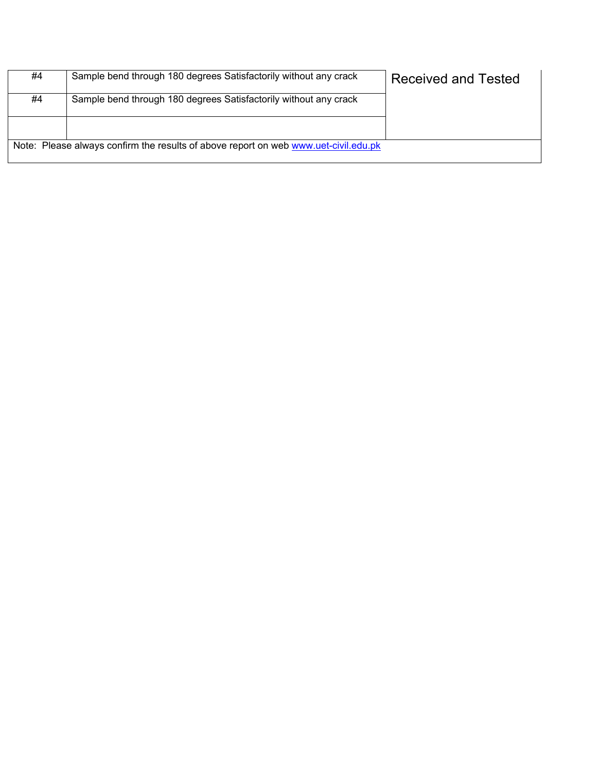| #4 | Sample bend through 180 degrees Satisfactorily without any crack                    | <b>Received and Tested</b> |
|----|-------------------------------------------------------------------------------------|----------------------------|
| #4 | Sample bend through 180 degrees Satisfactorily without any crack                    |                            |
|    |                                                                                     |                            |
|    | Note: Please always confirm the results of above report on web www.uet-civil.edu.pk |                            |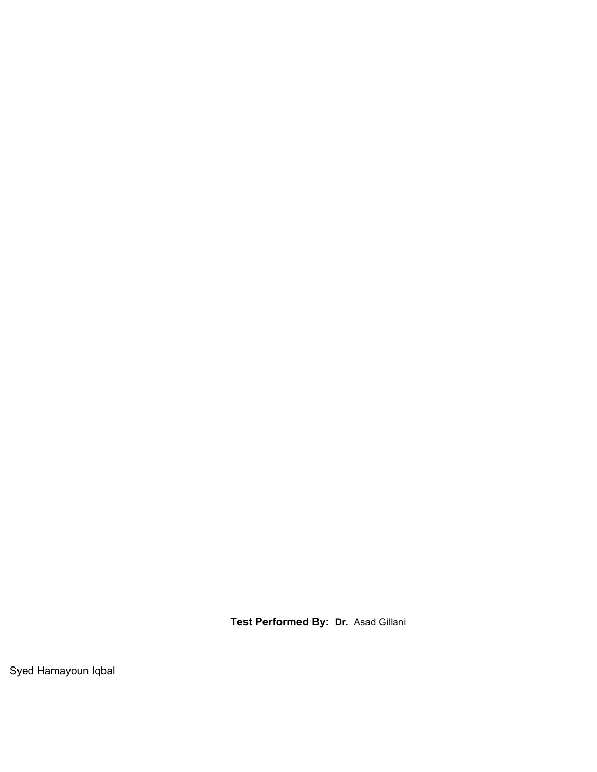**Test Performed By: Dr.** Asad Gillani

Syed Hamayoun Iqbal